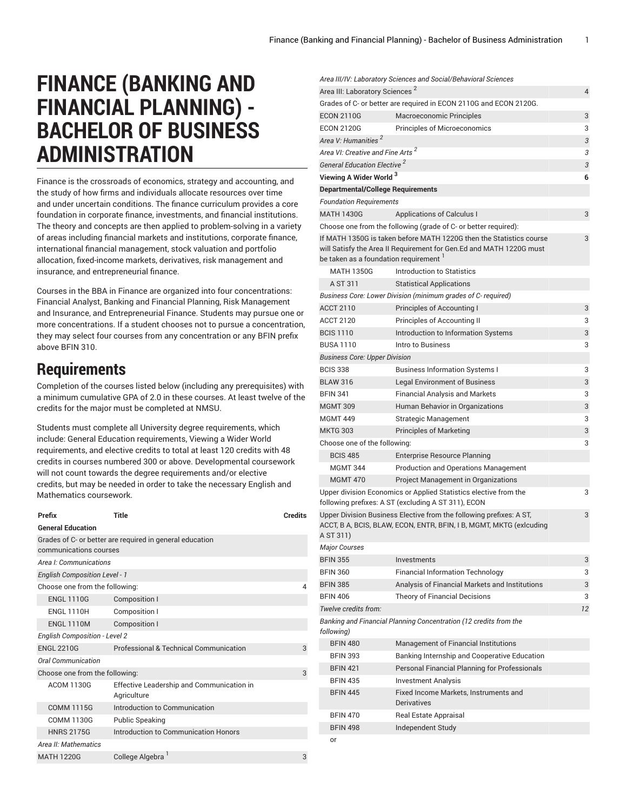*Area III/IV: Laboratory Sciences and Social/Behavioral Sciences*

## **FINANCE (BANKING AND FINANCIAL PLANNING) - BACHELOR OF BUSINESS ADMINISTRATION**

Finance is the crossroads of economics, strategy and accounting, and the study of how firms and individuals allocate resources over time and under uncertain conditions. The finance curriculum provides a core foundation in corporate finance, investments, and financial institutions. The theory and concepts are then applied to problem-solving in a variety of areas including financial markets and institutions, corporate finance, international financial management, stock valuation and portfolio allocation, fixed-income markets, derivatives, risk management and insurance, and entrepreneurial finance.

Courses in the BBA in Finance are organized into four concentrations: Financial Analyst, Banking and Financial Planning, Risk Management and Insurance, and Entrepreneurial Finance. Students may pursue one or more concentrations. If a student chooses not to pursue a concentration, they may select four courses from any concentration or any BFIN prefix above BFIN 310.

## **Requirements**

Completion of the courses listed below (including any prerequisites) with a minimum cumulative GPA of 2.0 in these courses. At least twelve of the credits for the major must be completed at NMSU.

Students must complete all University degree requirements, which include: General Education requirements, Viewing a Wider World requirements, and elective credits to total at least 120 credits with 48 credits in courses numbered 300 or above. Developmental coursework will not count towards the degree requirements and/or elective credits, but may be needed in order to take the necessary English and Mathematics coursework.

| Prefix                                                                             | <b>Title</b>                                             | <b>Credits</b> |  |
|------------------------------------------------------------------------------------|----------------------------------------------------------|----------------|--|
| <b>General Education</b>                                                           |                                                          |                |  |
| Grades of C- or better are required in general education<br>communications courses |                                                          |                |  |
| Area I: Communications                                                             |                                                          |                |  |
| <b>English Composition Level - 1</b>                                               |                                                          |                |  |
| Choose one from the following:                                                     |                                                          |                |  |
| <b>ENGL 1110G</b>                                                                  | Composition I                                            |                |  |
| <b>ENGL 1110H</b>                                                                  | Composition I                                            |                |  |
| <b>ENGL 1110M</b>                                                                  | Composition I                                            |                |  |
| <b>English Composition - Level 2</b>                                               |                                                          |                |  |
| <b>ENGL 2210G</b>                                                                  | Professional & Technical Communication                   | 3              |  |
| <b>Oral Communication</b>                                                          |                                                          |                |  |
| Choose one from the following:<br>3                                                |                                                          |                |  |
| <b>ACOM 1130G</b>                                                                  | Effective Leadership and Communication in<br>Agriculture |                |  |
| <b>COMM 1115G</b>                                                                  | Introduction to Communication                            |                |  |
| <b>COMM 1130G</b>                                                                  | <b>Public Speaking</b>                                   |                |  |
| <b>HNRS 2175G</b>                                                                  | Introduction to Communication Honors                     |                |  |
| Area II: Mathematics                                                               |                                                          |                |  |
| <b>MATH 1220G</b>                                                                  | College Algebra                                          | 3              |  |

| Area III: Laboratory Sciences <sup>2</sup>                                                                                   |                                                                                                                                            |    |
|------------------------------------------------------------------------------------------------------------------------------|--------------------------------------------------------------------------------------------------------------------------------------------|----|
|                                                                                                                              | Grades of C- or better are required in ECON 2110G and ECON 2120G.                                                                          |    |
| <b>ECON 2110G</b>                                                                                                            | Macroeconomic Principles                                                                                                                   |    |
| <b>ECON 2120G</b>                                                                                                            | Principles of Microeconomics                                                                                                               |    |
| Area V: Humanities <sup>2</sup>                                                                                              |                                                                                                                                            | 3  |
| Area VI: Creative and Fine Arts <sup>2</sup>                                                                                 |                                                                                                                                            | 3  |
| General Education Elective <sup>2</sup>                                                                                      |                                                                                                                                            | 3  |
| Viewing A Wider World <sup>3</sup>                                                                                           |                                                                                                                                            | 6  |
| <b>Departmental/College Requirements</b>                                                                                     |                                                                                                                                            |    |
| <b>Foundation Requirements</b>                                                                                               |                                                                                                                                            |    |
| <b>MATH 1430G</b>                                                                                                            | <b>Applications of Calculus I</b>                                                                                                          | 3  |
|                                                                                                                              | Choose one from the following (grade of C- or better required):                                                                            |    |
| be taken as a foundation requirement 1                                                                                       | If MATH 1350G is taken before MATH 1220G then the Statistics course<br>will Satisfy the Area II Requirement for Gen.Ed and MATH 1220G must | 3  |
| <b>MATH 1350G</b>                                                                                                            | <b>Introduction to Statistics</b>                                                                                                          |    |
| A ST 311                                                                                                                     | <b>Statistical Applications</b>                                                                                                            |    |
|                                                                                                                              | Business Core: Lower Division (minimum grades of C-required)                                                                               |    |
| <b>ACCT 2110</b>                                                                                                             | Principles of Accounting I                                                                                                                 | 3  |
| <b>ACCT 2120</b>                                                                                                             | Principles of Accounting II                                                                                                                | 3  |
| <b>BCIS 1110</b>                                                                                                             | Introduction to Information Systems                                                                                                        | 3  |
| <b>BUSA 1110</b>                                                                                                             | Intro to Business                                                                                                                          | 3  |
| <b>Business Core: Upper Division</b>                                                                                         |                                                                                                                                            |    |
| <b>BCIS 338</b>                                                                                                              | <b>Business Information Systems I</b>                                                                                                      | 3  |
| <b>BLAW 316</b>                                                                                                              | <b>Legal Environment of Business</b>                                                                                                       | 3  |
| <b>BFIN 341</b>                                                                                                              | <b>Financial Analysis and Markets</b>                                                                                                      | 3  |
| <b>MGMT 309</b>                                                                                                              | Human Behavior in Organizations                                                                                                            | 3  |
| <b>MGMT 449</b>                                                                                                              | Strategic Management                                                                                                                       | 3  |
| <b>MKTG 303</b>                                                                                                              | <b>Principles of Marketing</b>                                                                                                             | 3  |
| Choose one of the following:                                                                                                 |                                                                                                                                            | 3  |
| <b>BCIS 485</b>                                                                                                              | Enterprise Resource Planning                                                                                                               |    |
| <b>MGMT 344</b>                                                                                                              | Production and Operations Management                                                                                                       |    |
| <b>MGMT 470</b>                                                                                                              | Project Management in Organizations                                                                                                        |    |
| Upper division Economics or Applied Statistics elective from the<br>3<br>following prefixes: A ST (excluding A ST 311), ECON |                                                                                                                                            |    |
| A ST 311)                                                                                                                    | Upper Division Business Elective from the following prefixes: A ST,<br>ACCT, B A, BCIS, BLAW, ECON, ENTR, BFIN, I B, MGMT, MKTG (exicuding | 3  |
| <b>Major Courses</b>                                                                                                         |                                                                                                                                            |    |
| <b>BFIN 355</b>                                                                                                              | Investments                                                                                                                                | 3  |
| <b>BFIN 360</b>                                                                                                              | <b>Financial Information Technology</b>                                                                                                    | 3  |
| <b>BFIN 385</b>                                                                                                              | Analysis of Financial Markets and Institutions                                                                                             | 3  |
| <b>BFIN 406</b>                                                                                                              | Theory of Financial Decisions                                                                                                              | 3  |
| Twelve credits from:                                                                                                         |                                                                                                                                            | 12 |
| following)                                                                                                                   | Banking and Financial Planning Concentration (12 credits from the                                                                          |    |
| <b>BFIN 480</b>                                                                                                              | Management of Financial Institutions                                                                                                       |    |
| <b>BFIN 393</b>                                                                                                              | Banking Internship and Cooperative Education                                                                                               |    |
| <b>BFIN 421</b>                                                                                                              | Personal Financial Planning for Professionals                                                                                              |    |
| <b>BFIN 435</b>                                                                                                              | <b>Investment Analysis</b>                                                                                                                 |    |
| <b>BFIN 445</b>                                                                                                              | Fixed Income Markets, Instruments and<br>Derivatives                                                                                       |    |
| <b>BFIN 470</b>                                                                                                              | Real Estate Appraisal                                                                                                                      |    |
| <b>BFIN 498</b>                                                                                                              | Independent Study                                                                                                                          |    |
| or                                                                                                                           |                                                                                                                                            |    |